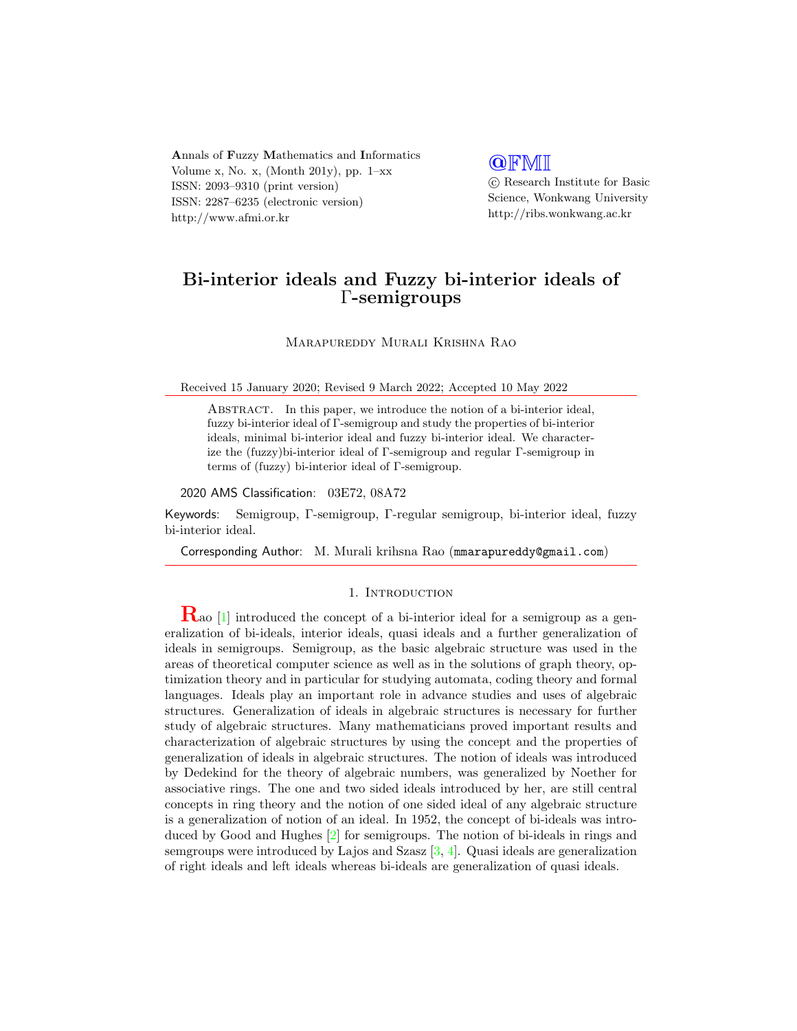Annals of Fuzzy Mathematics and Informatics Volume x, No. x, (Month 201y), pp.  $1-xx$ ISSN: 2093–9310 (print version) ISSN: 2287–6235 (electronic version) http://www.afmi.or.kr

## **QFMI**

 c Research Institute for Basic Science, Wonkwang University http://ribs.wonkwang.ac.kr

# Bi-interior ideals and Fuzzy bi-interior ideals of Γ-semigroups

Marapureddy Murali Krishna Rao

Received 15 January 2020; Revised 9 March 2022; Accepted 10 May 2022

Abstract. In this paper, we introduce the notion of a bi-interior ideal, fuzzy bi-interior ideal of Γ-semigroup and study the properties of bi-interior ideals, minimal bi-interior ideal and fuzzy bi-interior ideal. We characterize the (fuzzy)bi-interior ideal of Γ-semigroup and regular Γ-semigroup in terms of (fuzzy) bi-interior ideal of Γ-semigroup.

#### 2020 AMS Classification: 03E72, 08A72

Keywords: Semigroup, Γ-semigroup, Γ-regular semigroup, bi-interior ideal, fuzzy bi-interior ideal.

Corresponding Author: M. Murali krihsna Rao (mmarapureddy@gmail.com)

#### 1. INTRODUCTION

 $\mathbf{R}_{\text{ao}}$  [\[1\]](#page-15-0) introduced the concept of a bi-interior ideal for a semigroup as a generalization of bi-ideals, interior ideals, quasi ideals and a further generalization of ideals in semigroups. Semigroup, as the basic algebraic structure was used in the areas of theoretical computer science as well as in the solutions of graph theory, optimization theory and in particular for studying automata, coding theory and formal languages. Ideals play an important role in advance studies and uses of algebraic structures. Generalization of ideals in algebraic structures is necessary for further study of algebraic structures. Many mathematicians proved important results and characterization of algebraic structures by using the concept and the properties of generalization of ideals in algebraic structures. The notion of ideals was introduced by Dedekind for the theory of algebraic numbers, was generalized by Noether for associative rings. The one and two sided ideals introduced by her, are still central concepts in ring theory and the notion of one sided ideal of any algebraic structure is a generalization of notion of an ideal. In 1952, the concept of bi-ideals was introduced by Good and Hughes [\[2\]](#page-15-1) for semigroups. The notion of bi-ideals in rings and semgroups were introduced by Lajos and Szasz  $[3, 4]$  $[3, 4]$ . Quasi ideals are generalization of right ideals and left ideals whereas bi-ideals are generalization of quasi ideals.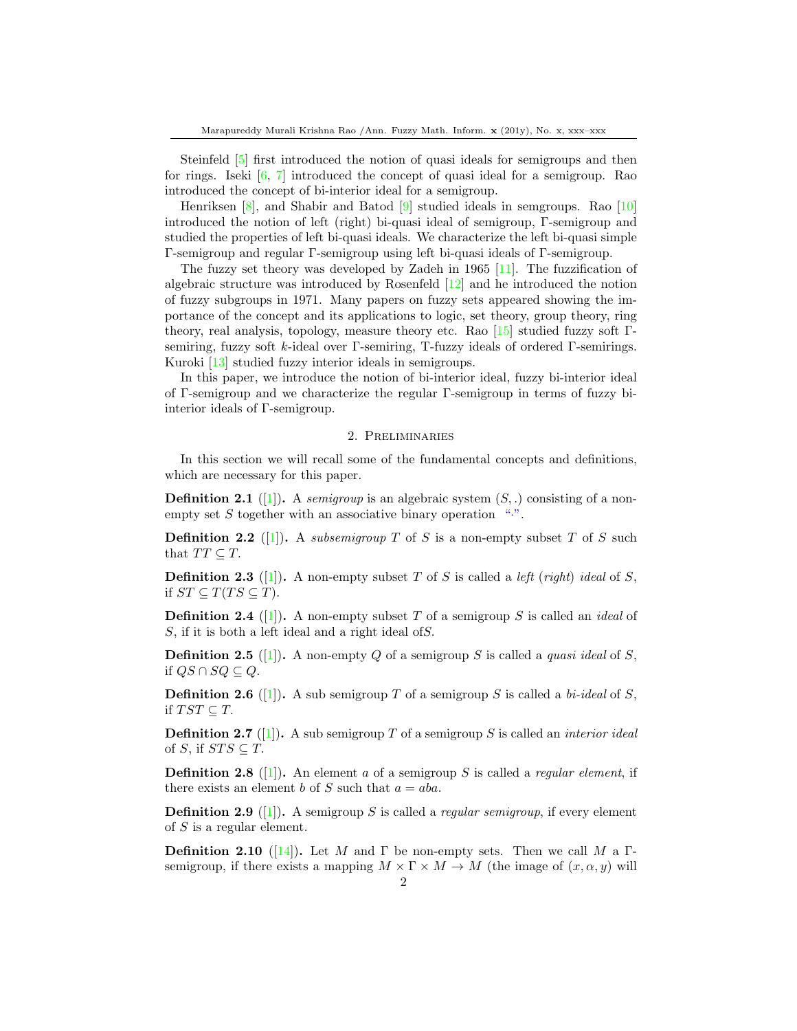Steinfeld [\[5\]](#page-15-4) first introduced the notion of quasi ideals for semigroups and then for rings. Iseki [\[6,](#page-15-5) [7\]](#page-15-6) introduced the concept of quasi ideal for a semigroup. Rao introduced the concept of bi-interior ideal for a semigroup.

Henriksen [\[8\]](#page-15-7), and Shabir and Batod [\[9\]](#page-15-8) studied ideals in semgroups. Rao [\[10\]](#page-15-9) introduced the notion of left (right) bi-quasi ideal of semigroup, Γ-semigroup and studied the properties of left bi-quasi ideals. We characterize the left bi-quasi simple Γ-semigroup and regular Γ-semigroup using left bi-quasi ideals of Γ-semigroup.

The fuzzy set theory was developed by Zadeh in 1965 [\[11\]](#page-15-10). The fuzzification of algebraic structure was introduced by Rosenfeld [\[12\]](#page-15-11) and he introduced the notion of fuzzy subgroups in 1971. Many papers on fuzzy sets appeared showing the importance of the concept and its applications to logic, set theory, group theory, ring theory, real analysis, topology, measure theory etc. Rao [\[15\]](#page-15-12) studied fuzzy soft Γsemiring, fuzzy soft k-ideal over Γ-semiring, T-fuzzy ideals of ordered Γ-semirings. Kuroki [\[13\]](#page-15-13) studied fuzzy interior ideals in semigroups.

In this paper, we introduce the notion of bi-interior ideal, fuzzy bi-interior ideal of Γ-semigroup and we characterize the regular Γ-semigroup in terms of fuzzy biinterior ideals of Γ-semigroup.

#### 2. Preliminaries

In this section we will recall some of the fundamental concepts and definitions, which are necessary for this paper.

**Definition 2.1** ([\[1\]](#page-15-0)). A semigroup is an algebraic system  $(S,.)$  consisting of a nonempty set  $S$  together with an associative binary operation ".".

**Definition 2.2** (1). A subsemigroup T of S is a non-empty subset T of S such that  $TT \subset T$ .

**Definition 2.3** ([\[1\]](#page-15-0)). A non-empty subset T of S is called a *left (right) ideal* of S, if  $ST \subseteq T(TS \subseteq T)$ .

**Definition 2.4** ([\[1\]](#page-15-0)). A non-empty subset T of a semigroup S is called an *ideal* of S, if it is both a left ideal and a right ideal ofS.

**Definition 2.5** ([\[1\]](#page-15-0)). A non-empty Q of a semigroup S is called a quasi ideal of S, if  $QS \cap SQ \subseteq Q$ .

**Definition 2.6** ([\[1\]](#page-15-0)). A sub semigroup T of a semigroup S is called a *bi-ideal* of S, if  $TST \subseteq T$ .

**Definition 2.7** ([\[1\]](#page-15-0)). A sub semigroup T of a semigroup S is called an *interior ideal* of S, if  $STS \subseteq T$ .

**Definition 2.8** ([\[1\]](#page-15-0)). An element a of a semigroup S is called a *regular element*, if there exists an element b of S such that  $a = aba$ .

**Definition 2.9** ([\[1\]](#page-15-0)). A semigroup S is called a *regular semigroup*, if every element of S is a regular element.

**Definition 2.10** ([\[14\]](#page-15-14)). Let M and  $\Gamma$  be non-empty sets. Then we call M a  $\Gamma$ semigroup, if there exists a mapping  $M \times \Gamma \times M \to M$  (the image of  $(x, \alpha, y)$  will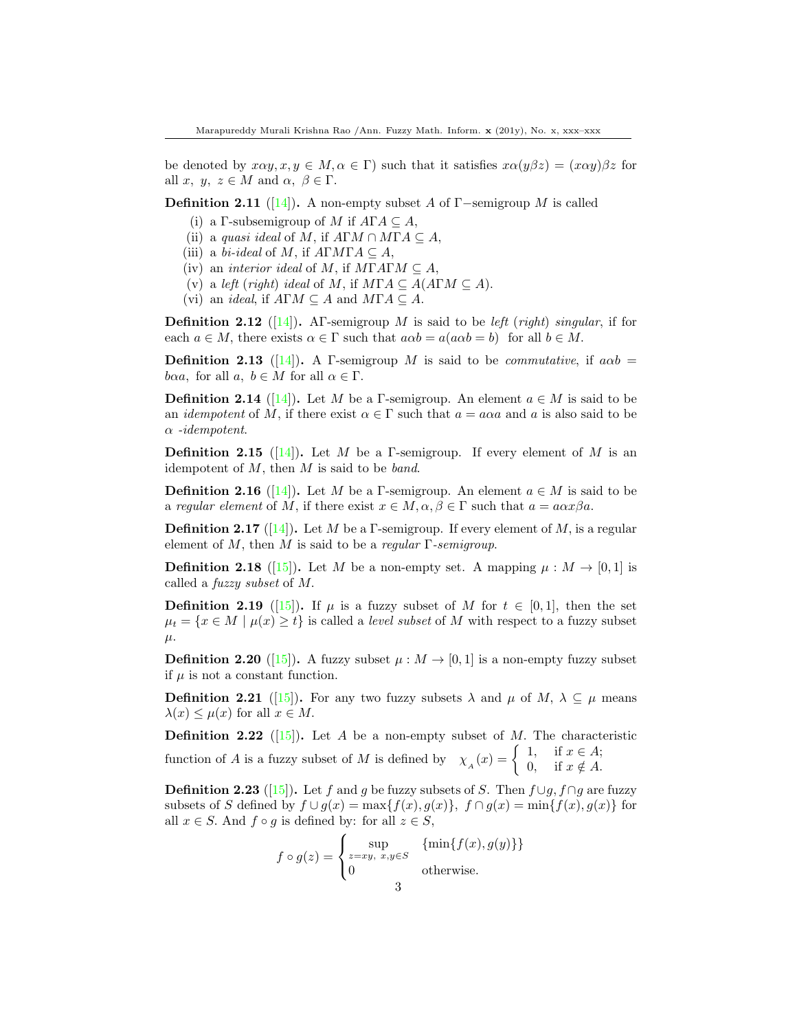be denoted by  $x\alpha y, x, y \in M, \alpha \in \Gamma$ ) such that it satisfies  $x\alpha (y\beta z) = (x\alpha y)\beta z$  for all x,  $y, z \in M$  and  $\alpha, \beta \in \Gamma$ .

**Definition 2.11** ([\[14\]](#page-15-14)). A non-empty subset A of  $\Gamma$ -semigroup M is called

- (i) a Γ-subsemigroup of M if  $A\Gamma A \subseteq A$ ,
- (ii) a quasi ideal of M, if  $A\Gamma M \cap M\Gamma A \subseteq A$ ,
- (iii) a bi-ideal of M, if  $A\Gamma M\Gamma A\subseteq A$ ,
- (iv) an *interior ideal* of M, if  $M\Gamma A\Gamma M \subseteq A$ ,
- (v) a left (right) ideal of M, if  $M\Gamma A \subseteq A(A\Gamma M \subseteq A)$ .
- (vi) an *ideal*, if  $A\Gamma M \subseteq A$  and  $M\Gamma A \subseteq A$ .

**Definition 2.12** ([\[14\]](#page-15-14)). AF-semigroup M is said to be *left* (right) singular, if for each  $a \in M$ , there exists  $\alpha \in \Gamma$  such that  $a\alpha b = a(a\alpha b = b)$  for all  $b \in M$ .

**Definition 2.13** ([\[14\]](#page-15-14)). A Γ-semigroup M is said to be *commutative*, if  $a\alpha b =$ baa, for all a,  $b \in M$  for all  $\alpha \in \Gamma$ .

**Definition 2.14** ([\[14\]](#page-15-14)). Let M be a Γ-semigroup. An element  $a \in M$  is said to be an *idempotent* of M, if there exist  $\alpha \in \Gamma$  such that  $a = a\alpha a$  and a is also said to be α -idempotent.

**Definition 2.15** ([\[14\]](#page-15-14)). Let M be a Γ-semigroup. If every element of M is an idempotent of  $M$ , then  $M$  is said to be *band*.

**Definition 2.16** ([\[14\]](#page-15-14)). Let M be a Γ-semigroup. An element  $a \in M$  is said to be a regular element of M, if there exist  $x \in M$ ,  $\alpha, \beta \in \Gamma$  such that  $a = a\alpha x\beta a$ .

**Definition 2.17** ([\[14\]](#page-15-14)). Let M be a Γ-semigroup. If every element of M, is a regular element of M, then M is said to be a regular  $\Gamma$ -semigroup.

**Definition 2.18** ([\[15\]](#page-15-12)). Let M be a non-empty set. A mapping  $\mu : M \to [0,1]$  is called a fuzzy subset of M.

**Definition 2.19** ([\[15\]](#page-15-12)). If  $\mu$  is a fuzzy subset of M for  $t \in [0,1]$ , then the set  $\mu_t = \{x \in M \mid \mu(x) \geq t\}$  is called a *level subset* of M with respect to a fuzzy subset  $\mu$ .

**Definition 2.20** ([\[15\]](#page-15-12)). A fuzzy subset  $\mu : M \to [0, 1]$  is a non-empty fuzzy subset if  $\mu$  is not a constant function.

**Definition 2.21** ([\[15\]](#page-15-12)). For any two fuzzy subsets  $\lambda$  and  $\mu$  of  $M$ ,  $\lambda \subseteq \mu$  means  $\lambda(x) \leq \mu(x)$  for all  $x \in M$ .

**Definition 2.22** ([\[15\]](#page-15-12)). Let A be a non-empty subset of M. The characteristic function of A is a fuzzy subset of M is defined by  $\chi_A(x) = \begin{cases} 1, & \text{if } x \in A; \\ 0, & \text{if } x \notin A. \end{cases}$ 0, if  $x \notin A$ .

**Definition 2.23** ([\[15\]](#page-15-12)). Let f and g be fuzzy subsets of S. Then  $f \cup q$ ,  $f \cap q$  are fuzzy subsets of S defined by  $f \cup g(x) = \max\{f(x), g(x)\}, f \cap g(x) = \min\{f(x), g(x)\}\$ for all  $x \in S$ . And  $f \circ g$  is defined by: for all  $z \in S$ ,

> $f \circ g(z) =$  $\sqrt{ }$ J  $\mathcal{L}$  $\sup_{z = xy, x, y \in S} \{ \min\{f(x), g(y)\} \}$ 0 otherwise.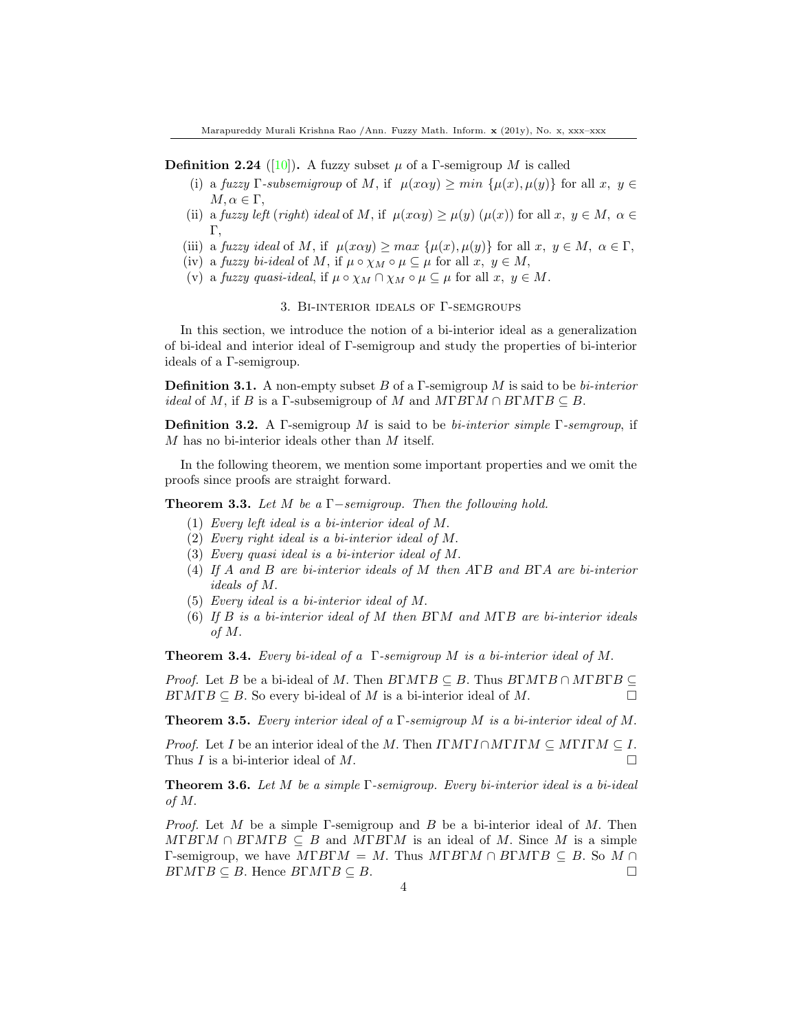**Definition 2.24** ([\[10\]](#page-15-9)). A fuzzy subset  $\mu$  of a Γ-semigroup M is called

- (i) a fuzzy Γ-subsemigroup of M, if  $\mu(x\alpha y) \geq min {\mu(x), \mu(y)}$  for all  $x, y \in$  $M, \alpha \in \Gamma$ ,
- (ii) a fuzzy left (right) ideal of M, if  $\mu(x\alpha y) \ge \mu(y)$  ( $\mu(x)$ ) for all  $x, y \in M$ ,  $\alpha \in$ Γ,
- (iii) a fuzzy ideal of M, if  $\mu(x\alpha y) \geq max \{ \mu(x), \mu(y) \}$  for all  $x, y \in M$ ,  $\alpha \in \Gamma$ ,
- (iv) a fuzzy bi-ideal of M, if  $\mu \circ \chi_M \circ \mu \subseteq \mu$  for all  $x, y \in M$ ,
- (v) a fuzzy quasi-ideal, if  $\mu \circ \chi_M \cap \chi_M \circ \mu \subseteq \mu$  for all  $x, y \in M$ .

#### 3. Bi-interior ideals of Γ-semgroups

In this section, we introduce the notion of a bi-interior ideal as a generalization of bi-ideal and interior ideal of Γ-semigroup and study the properties of bi-interior ideals of a Γ-semigroup.

**Definition 3.1.** A non-empty subset B of a  $\Gamma$ -semigroup M is said to be bi-interior *ideal* of M, if B is a Γ-subsemigroup of M and  $M \Gamma B \Gamma M \cap B \Gamma M \Gamma B \subseteq B$ .

**Definition 3.2.** A Γ-semigroup M is said to be bi-interior simple  $\Gamma$ -semgroup, if M has no bi-interior ideals other than M itself.

In the following theorem, we mention some important properties and we omit the proofs since proofs are straight forward.

<span id="page-3-0"></span>**Theorem 3.3.** Let M be a  $\Gamma$ -semigroup. Then the following hold.

- (1) Every left ideal is a bi-interior ideal of M.
- (2) Every right ideal is a bi-interior ideal of M.
- (3) Every quasi ideal is a bi-interior ideal of M.
- (4) If A and B are bi-interior ideals of M then AΓB and BΓA are bi-interior ideals of M.
- (5) Every ideal is a bi-interior ideal of M.
- (6) If B is a bi-interior ideal of M then  $B\Gamma M$  and  $M\Gamma B$  are bi-interior ideals of M.

**Theorem 3.4.** Every bi-ideal of a  $\Gamma$ -semigroup M is a bi-interior ideal of M.

*Proof.* Let B be a bi-ideal of M. Then  $B\Gamma M \Gamma B \subseteq B$ . Thus  $B\Gamma M \Gamma B \cap M \Gamma B \Gamma B \subseteq$  $B\Gamma M\Gamma B \subseteq B$ . So every bi-ideal of M is a bi-interior ideal of M.

**Theorem 3.5.** Every interior ideal of a  $\Gamma$ -semigroup M is a bi-interior ideal of M.

*Proof.* Let I be an interior ideal of the M. Then  $I\Gamma M\Gamma I \cap M\Gamma I\Gamma M \subseteq M\Gamma I\Gamma M \subseteq I$ . Thus I is a bi-interior ideal of M.

Theorem 3.6. Let M be a simple Γ-semigroup. Every bi-interior ideal is a bi-ideal of M.

*Proof.* Let M be a simple Γ-semigroup and B be a bi-interior ideal of M. Then  $M\Gamma B\Gamma M \cap B\Gamma M\Gamma B \subseteq B$  and  $M\Gamma B\Gamma M$  is an ideal of M. Since M is a simple Γ-semigroup, we have  $M\Gamma B\Gamma M = M$ . Thus  $M\Gamma B\Gamma M \cap B\Gamma M\Gamma B \subseteq B$ . So  $M \cap$  $B\Gamma M\Gamma B \subseteq B$ . Hence  $B\Gamma M\Gamma B \subseteq B$ .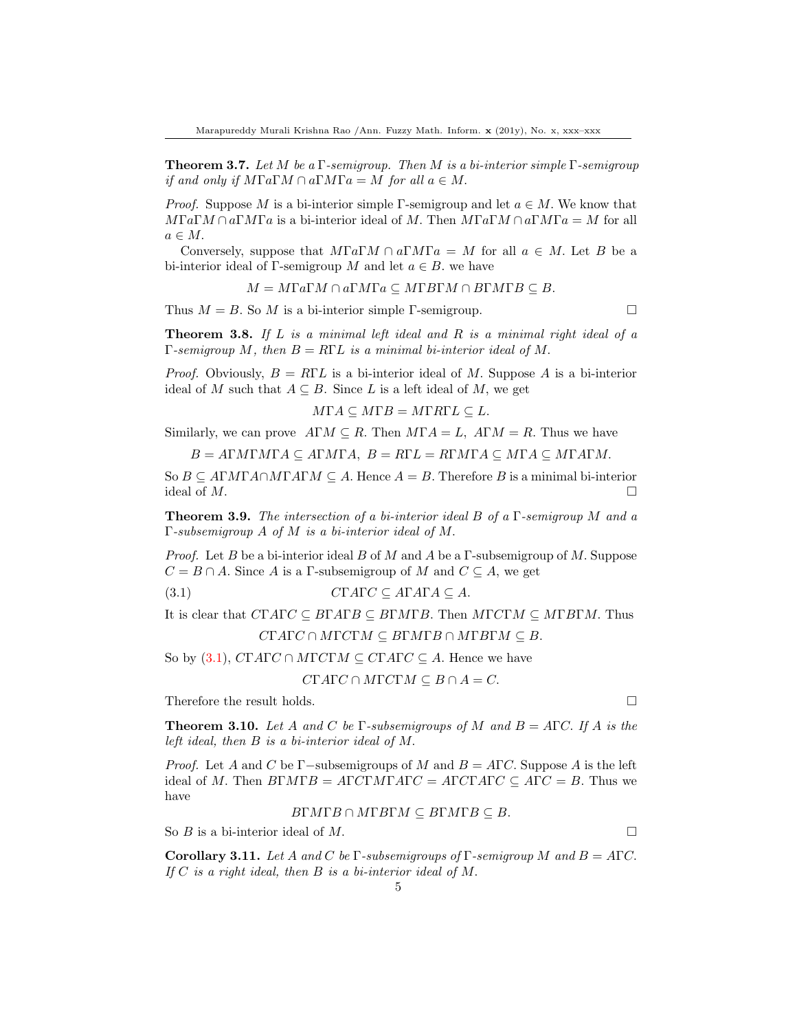**Theorem 3.7.** Let M be a Γ-semigroup. Then M is a bi-interior simple Γ-semigroup if and only if  $M\Gamma a\Gamma M \cap a\Gamma M\Gamma a = M$  for all  $a \in M$ .

*Proof.* Suppose M is a bi-interior simple Γ-semigroup and let  $a \in M$ . We know that  $M\Gamma a\Gamma M\Gamma a$  is a bi-interior ideal of M. Then  $M\Gamma a\Gamma M\Gamma a = M$  for all  $a \in M$ .

Conversely, suppose that  $M\Gamma a\Gamma M\cap a\Gamma M\Gamma a = M$  for all  $a \in M$ . Let B be a bi-interior ideal of Γ-semigroup M and let  $a \in B$ , we have

 $M = M\Gamma a\Gamma M \cap a\Gamma M\Gamma a \subseteq M\Gamma B\Gamma M \cap B\Gamma M\Gamma B \subseteq B.$ 

Thus  $M = B$ . So M is a bi-interior simple Γ-semigroup.

**Theorem 3.8.** If  $L$  is a minimal left ideal and  $R$  is a minimal right ideal of a  $\Gamma$ -semigroup M, then  $B = R\Gamma L$  is a minimal bi-interior ideal of M.

*Proof.* Obviously,  $B = R\Gamma L$  is a bi-interior ideal of M. Suppose A is a bi-interior ideal of M such that  $A \subseteq B$ . Since L is a left ideal of M, we get

$$
M\Gamma A \subseteq M\Gamma B = M\Gamma R\Gamma L \subseteq L.
$$

Similarly, we can prove  $A\Gamma M \subseteq R$ . Then  $M\Gamma A = L$ ,  $A\Gamma M = R$ . Thus we have

 $B = A\Gamma M\Gamma M\Gamma A \subseteq A\Gamma M\Gamma A$ ,  $B = R\Gamma L = R\Gamma M\Gamma A \subseteq M\Gamma A \subseteq M\Gamma A\Gamma M$ .

So  $B \subseteq A\Gamma M\Gamma A \cap M\Gamma A\Gamma M \subseteq A$ . Hence  $A = B$ . Therefore B is a minimal bi-interior ideal of  $M$ .

**Theorem 3.9.** The intersection of a bi-interior ideal B of a  $\Gamma$ -semigroup M and a Γ-subsemigroup A of M is a bi-interior ideal of M.

*Proof.* Let B be a bi-interior ideal B of M and A be a  $\Gamma$ -subsemigroup of M. Suppose  $C = B \cap A$ . Since A is a Γ-subsemigroup of M and  $C \subseteq A$ , we get

$$
(3.1) \t\t \tCTATC \subseteq A\Gamma A\Gamma A \subseteq A.
$$

It is clear that  $CTATC \subseteq B\Gamma A\Gamma B \subseteq B\Gamma M\Gamma B$ . Then  $M\Gamma C\Gamma M \subseteq M\Gamma B\Gamma M$ . Thus  $\gamma_{\Gamma}$  are  $\alpha \circ M_{\Gamma}$  and  $\alpha \circ M_{\Gamma}$  and  $\alpha \circ M_{\Gamma}$  and  $\alpha \circ M_{\Gamma}$ 

$$
C\Gamma A\Gamma C\cap M\Gamma C\Gamma M\subseteq B\Gamma M\Gamma B\cap M\Gamma B\Gamma M\subseteq B.
$$

So by (3.1),  $CTATC \cap MTCTM \subseteq CTATC \subseteq A$ . Hence we have

$$
CTATC \cap MTC\Gamma M \subseteq B \cap A = C.
$$

Therefore the result holds.  $\Box$ 

**Theorem 3.10.** Let A and C be  $\Gamma$ -subsemigroups of M and  $B = A\Gamma C$ . If A is the left ideal, then B is a bi-interior ideal of M.

*Proof.* Let A and C be Γ−subsemigroups of M and  $B = A\Gamma C$ . Suppose A is the left ideal of M. Then  $B\Gamma M\Gamma B = A\Gamma C\Gamma M\Gamma A\Gamma C = A\Gamma C\Gamma A\Gamma C \subseteq A\Gamma C = B$ . Thus we have

$$
BTMTB \cap MTBTM \subseteq B\Gamma M\Gamma B \subseteq B.
$$

So  $B$  is a bi-interior ideal of  $M$ .

Corollary 3.11. Let A and C be Γ-subsemigroups of Γ-semigroup M and  $B = A\Gamma C$ . If  $C$  is a right ideal, then  $B$  is a bi-interior ideal of  $M$ .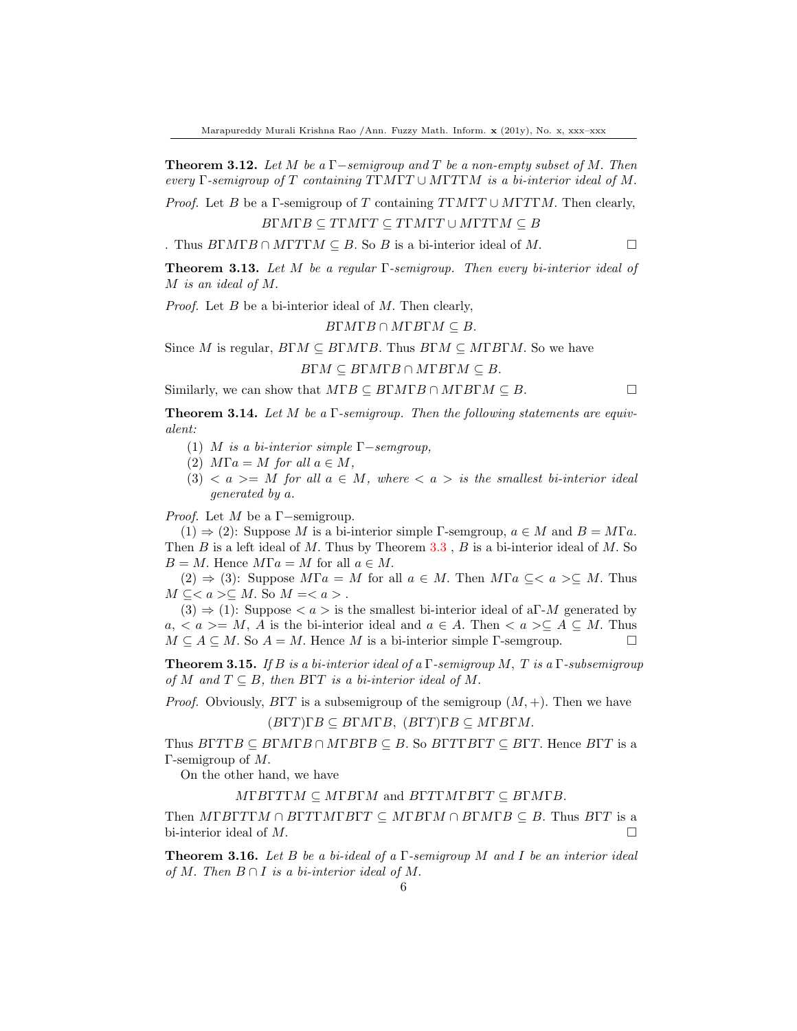**Theorem 3.12.** Let M be a Γ−semigroup and T be a non-empty subset of M. Then every Γ-semigroup of T containing  $T\Gamma M\Gamma T\cup M\Gamma T\Gamma M$  is a bi-interior ideal of M.

*Proof.* Let B be a Γ-semigroup of T containing  $TTM\Gamma T \cup MTT\Gamma M$ . Then clearly,

$$
BTMTB \subseteq TTMTT \subseteq TTMTT \cup MTTTM \subseteq B
$$

. Thus  $B\Gamma M\Gamma B \cap M\Gamma T\Gamma M \subseteq B$ . So B is a bi-interior ideal of M.

**Theorem 3.13.** Let M be a regular  $\Gamma$ -semigroup. Then every bi-interior ideal of M is an ideal of M.

*Proof.* Let  $B$  be a bi-interior ideal of  $M$ . Then clearly,

 $B\Gamma M\Gamma B\cap M\Gamma B\Gamma M\subseteq B.$ 

Since M is regular,  $B\Gamma M \subseteq B\Gamma M\Gamma B$ . Thus  $B\Gamma M \subseteq M\Gamma B\Gamma M$ . So we have  $B\Gamma M \subseteq B\Gamma M\Gamma B \cap M\Gamma B\Gamma M \subseteq B$ .

Similarly, we can show that  $M\Gamma B \subseteq B\Gamma M\Gamma B \cap M\Gamma B\Gamma M \subseteq B$ .

**Theorem 3.14.** Let M be a  $\Gamma$ -semigroup. Then the following statements are equivalent:

- (1) M is a bi-interior simple  $\Gamma$ -semgroup,
- (2)  $M\Gamma a = M$  for all  $a \in M$ ,
- (3)  $\langle a \rangle = M$  for all  $a \in M$ , where  $\langle a \rangle$  is the smallest bi-interior ideal generated by a.

*Proof.* Let  $M$  be a Γ−semigroup.

 $(1) \Rightarrow (2)$ : Suppose M is a bi-interior simple Γ-semgroup,  $a \in M$  and  $B = M\Gamma a$ . Then  $B$  is a left ideal of  $M$ . Thus by Theorem [3.3](#page-3-0),  $B$  is a bi-interior ideal of  $M$ . So  $B = M$ . Hence  $M\Gamma a = M$  for all  $a \in M$ .

 $(2) \Rightarrow (3)$ : Suppose  $M\Gamma a = M$  for all  $a \in M$ . Then  $M\Gamma a \subseteq \langle a \rangle \subseteq M$ . Thus  $M \subseteq \subseteq M$ . So  $M =$ .

 $(3) \Rightarrow (1)$ : Suppose  $\langle a \rangle$  is the smallest bi-interior ideal of a<sup>Γ</sup>-*M* generated by  $a, \langle a \rangle = M$ , A is the bi-interior ideal and  $a \in A$ . Then  $\langle a \rangle \subseteq A \subseteq M$ . Thus  $M \subseteq A \subseteq M$ . So  $A = M$ . Hence M is a bi-interior simple Γ-semgroup.

**Theorem 3.15.** If B is a bi-interior ideal of a  $\Gamma$ -semigroup M, T is a  $\Gamma$ -subsemigroup of M and  $T \subseteq B$ , then BTT is a bi-interior ideal of M.

*Proof.* Obviously,  $B\Gamma T$  is a subsemigroup of the semigroup  $(M, +)$ . Then we have

## $(B\Gamma T)\Gamma B \subseteq B\Gamma M\Gamma B$ ,  $(B\Gamma T)\Gamma B \subseteq M\Gamma B\Gamma M$ .

Thus  $B\Gamma T\Gamma B \subseteq B\Gamma M\Gamma B \cap M\Gamma B\Gamma B \subseteq B$ . So  $B\Gamma T\Gamma B\Gamma T \subseteq B\Gamma T$ . Hence  $B\Gamma T$  is a Γ-semigroup of M.

On the other hand, we have

 $M \Gamma B \Gamma T \Gamma M \subseteq M \Gamma B \Gamma M$  and  $B \Gamma T \Gamma M \Gamma B \Gamma T \subseteq B \Gamma M \Gamma B$ .

Then  $M$ ΓBΓTΓM  $\cap$  BΓTΓMΓBΓT  $\subseteq$  MΓBΓM  $\cap$  BΓMΓB  $\subseteq$  B. Thus BΓT is a bi-interior ideal of  $M$ .

**Theorem 3.16.** Let B be a bi-ideal of a  $\Gamma$ -semigroup M and I be an interior ideal of M. Then  $B \cap I$  is a bi-interior ideal of M.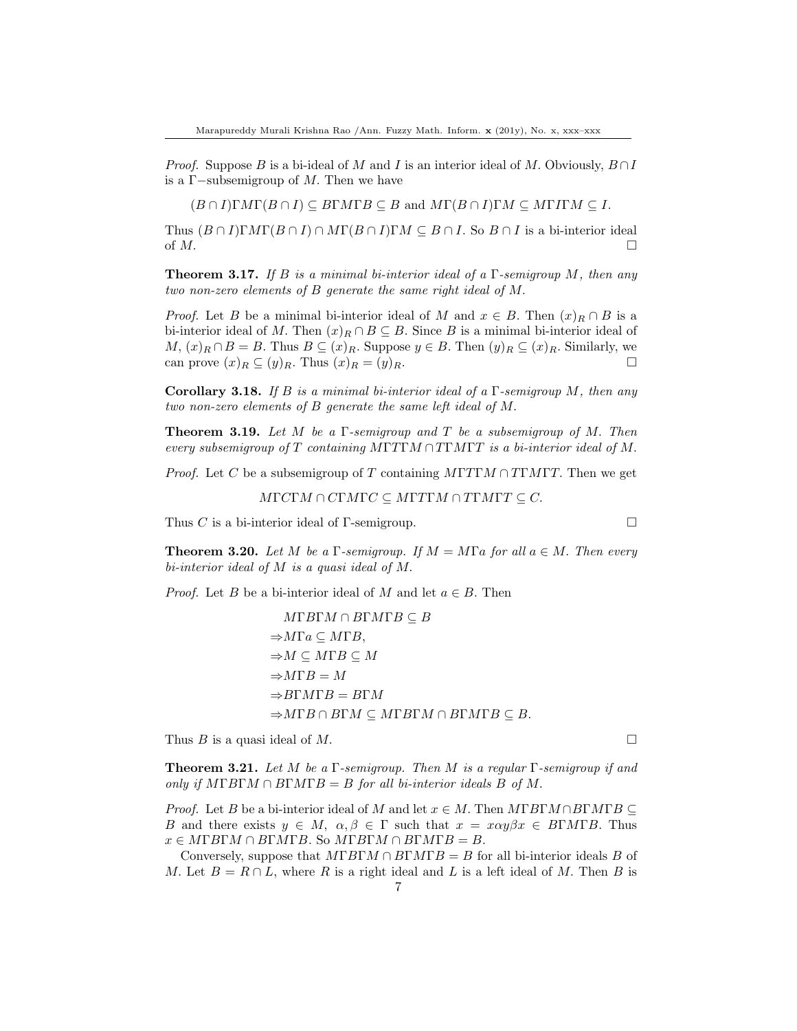*Proof.* Suppose B is a bi-ideal of M and I is an interior ideal of M. Obviously,  $B \cap I$ is a Γ−subsemigroup of M. Then we have

 $(B \cap I)\Gamma M\Gamma(B \cap I) \subseteq B\Gamma M\Gamma B \subseteq B$  and  $M\Gamma(B \cap I)\Gamma M \subseteq M\Gamma I\Gamma M \subseteq I$ .

Thus  $(B \cap I)\Gamma\Lambda\Gamma(B \cap I) \cap \Lambda\Gamma(B \cap I)\Gamma\Lambda \subseteq B \cap I$ . So  $B \cap I$  is a bi-interior ideal of  $M$ .

**Theorem 3.17.** If B is a minimal bi-interior ideal of a  $\Gamma$ -semigroup M, then any two non-zero elements of B generate the same right ideal of M.

*Proof.* Let B be a minimal bi-interior ideal of M and  $x \in B$ . Then  $(x)_R \cap B$  is a bi-interior ideal of M. Then  $(x)_R \cap B \subseteq B$ . Since B is a minimal bi-interior ideal of  $M, (x)_R \cap B = B$ . Thus  $B \subseteq (x)_R$ . Suppose  $y \in B$ . Then  $(y)_R \subseteq (x)_R$ . Similarly, we can prove  $(x)_R \subseteq (y)_R$ . Thus  $(x)_R = (y)_R$ .

**Corollary 3.18.** If B is a minimal bi-interior ideal of a  $\Gamma$ -semigroup M, then any two non-zero elements of B generate the same left ideal of M.

**Theorem 3.19.** Let M be a  $\Gamma$ -semigroup and T be a subsemigroup of M. Then every subsemigroup of T containing  $M\Gamma T\Gamma M\cap T\Gamma M\Gamma T$  is a bi-interior ideal of M.

*Proof.* Let C be a subsemigroup of T containing  $MTTTM \cap TTMTT$ . Then we get

 $M\Gamma C\Gamma M\cap C\Gamma M\Gamma C\subseteq M\Gamma T\Gamma M\cap T\Gamma M\Gamma T\subseteq C.$ 

Thus C is a bi-interior ideal of  $\Gamma$ -semigroup.

<span id="page-6-1"></span>**Theorem 3.20.** Let M be a Γ-semigroup. If  $M = M\Gamma a$  for all  $a \in M$ . Then every bi-interior ideal of M is a quasi ideal of M.

*Proof.* Let B be a bi-interior ideal of M and let  $a \in B$ . Then

$$
M\Gamma B\Gamma M \cap B\Gamma M\Gamma B \subseteq B
$$
  
\n
$$
\Rightarrow M\Gamma a \subseteq M\Gamma B,
$$
  
\n
$$
\Rightarrow M \subseteq M\Gamma B \subseteq M
$$
  
\n
$$
\Rightarrow M\Gamma B = M
$$
  
\n
$$
\Rightarrow B\Gamma M\Gamma B = B\Gamma M
$$
  
\n
$$
\Rightarrow M\Gamma B \cap B\Gamma M \subseteq M\Gamma B\Gamma M \cap B\Gamma M\Gamma B \subseteq B.
$$

Thus B is a quasi ideal of M.

<span id="page-6-0"></span>**Theorem 3.21.** Let M be a Γ-semigroup. Then M is a regular Γ-semigroup if and only if  $M\Gamma B\Gamma M \cap B\Gamma M\Gamma B = B$  for all bi-interior ideals B of M.

*Proof.* Let B be a bi-interior ideal of M and let  $x \in M$ . Then  $M \Gamma B \Gamma M \cap B \Gamma M \Gamma B \subseteq$ B and there exists  $y \in M$ ,  $\alpha, \beta \in \Gamma$  such that  $x = x \alpha y \beta x \in B\Gamma M \Gamma B$ . Thus  $x \in M\Gamma B\Gamma M \cap B\Gamma M\Gamma B$ . So  $M\Gamma B\Gamma M \cap B\Gamma M\Gamma B = B$ .

Conversely, suppose that  $M\Gamma B\Gamma M \cap B\Gamma M\Gamma B = B$  for all bi-interior ideals B of M. Let  $B = R \cap L$ , where R is a right ideal and L is a left ideal of M. Then B is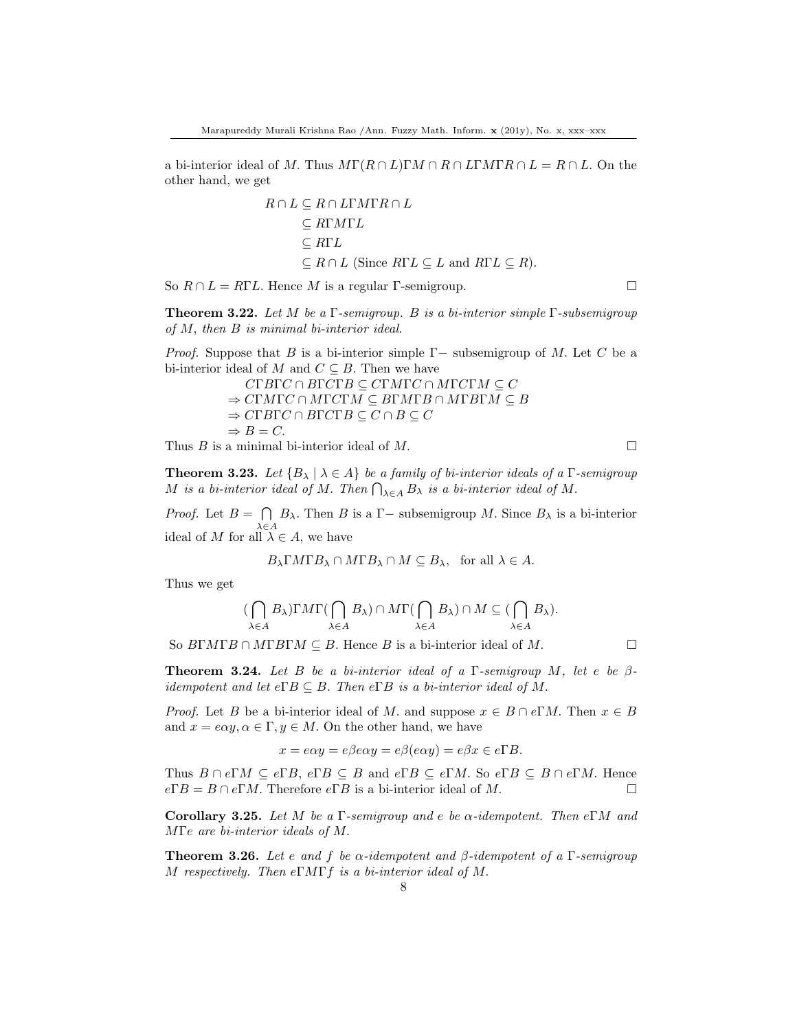a bi-interior ideal of M. Thus  $M\Gamma(R\cap L)\Gamma M\cap R\cap L\Gamma M\Gamma R\cap L=R\cap L$ . On the other hand, we get

$$
R \cap L \subseteq R \cap L\Gamma M\Gamma R \cap L
$$
  
\n
$$
\subseteq RTML
$$
  
\n
$$
\subseteq RTL
$$
  
\n
$$
\subseteq R \cap L \text{ (Since } R\Gamma L \subseteq L \text{ and } R\Gamma L \subseteq R).
$$

So  $R \cap L = R\Gamma L$ . Hence M is a regular Γ-semigroup.

**Theorem 3.22.** Let M be a  $\Gamma$ -semigroup. B is a bi-interior simple  $\Gamma$ -subsemigroup of  $M$ , then  $B$  is minimal bi-interior ideal.

*Proof.* Suppose that B is a bi-interior simple  $\Gamma$  – subsemigroup of M. Let C be a bi-interior ideal of M and  $C \subseteq B$ . Then we have

$$
CTBTC \cap BTCTB \subseteq CTMTC \cap MTCTM \subseteq C
$$
  
\n
$$
\Rightarrow CTMTC \cap MTCTM \subseteq BTMTB \cap MTBTM \subseteq B
$$
  
\n
$$
\Rightarrow CTBTC \cap BTCTB \subseteq C \cap B \subseteq C
$$
  
\n
$$
\Rightarrow B = C.
$$

Thus B is a minimal bi-interior ideal of M.

**Theorem 3.23.** Let  ${B_{\lambda} | \lambda \in A}$  be a family of bi-interior ideals of a  $\Gamma$ -semigroup M is a bi-interior ideal of M. Then  $\bigcap_{\lambda \in A} B_{\lambda}$  is a bi-interior ideal of M.

*Proof.* Let  $B = \bigcap$  $\bigcap_{\lambda \in A} B_{\lambda}$ . Then B is a  $\Gamma$  – subsemigroup M. Since  $B_{\lambda}$  is a bi-interior ideal of M for all  $\lambda \in A$ , we have

$$
B_{\lambda} \Gamma M \Gamma B_{\lambda} \cap M \Gamma B_{\lambda} \cap M \subseteq B_{\lambda}, \text{ for all } \lambda \in A.
$$

Thus we get

$$
(\bigcap_{\lambda \in A} B_{\lambda}) \Gamma M \Gamma(\bigcap_{\lambda \in A} B_{\lambda}) \cap M \Gamma(\bigcap_{\lambda \in A} B_{\lambda}) \cap M \subseteq (\bigcap_{\lambda \in A} B_{\lambda}).
$$

So  $B\Gamma M\Gamma B \cap M\Gamma B\Gamma M \subseteq B$ . Hence B is a bi-interior ideal of M.

**Theorem 3.24.** Let B be a bi-interior ideal of a  $\Gamma$ -semigroup M, let e be  $\beta$ idempotent and let  $e\Gamma B \subseteq B$ . Then  $e\Gamma B$  is a bi-interior ideal of M.

*Proof.* Let B be a bi-interior ideal of M. and suppose  $x \in B \cap e\Gamma M$ . Then  $x \in B$ and  $x = e\alpha y, \alpha \in \Gamma, y \in M$ . On the other hand, we have

$$
x = e\alpha y = e\beta e\alpha y = e\beta(e\alpha y) = e\beta x \in e\Gamma B.
$$

Thus  $B \cap e\Gamma M \subseteq e\Gamma B$ ,  $e\Gamma B \subseteq B$  and  $e\Gamma B \subseteq e\Gamma M$ . So  $e\Gamma B \subseteq B \cap e\Gamma M$ . Hence  $e\Gamma B = B \cap e\Gamma M$ . Therefore  $e\Gamma B$  is a bi-interior ideal of M.

Corollary 3.25. Let M be a Γ-semigroup and e be  $\alpha$ -idempotent. Then eΓM and MΓe are bi-interior ideals of M.

**Theorem 3.26.** Let e and f be  $\alpha$ -idempotent and  $\beta$ -idempotent of a Γ-semigroup M respectively. Then  $e\Gamma M\Gamma f$  is a bi-interior ideal of M.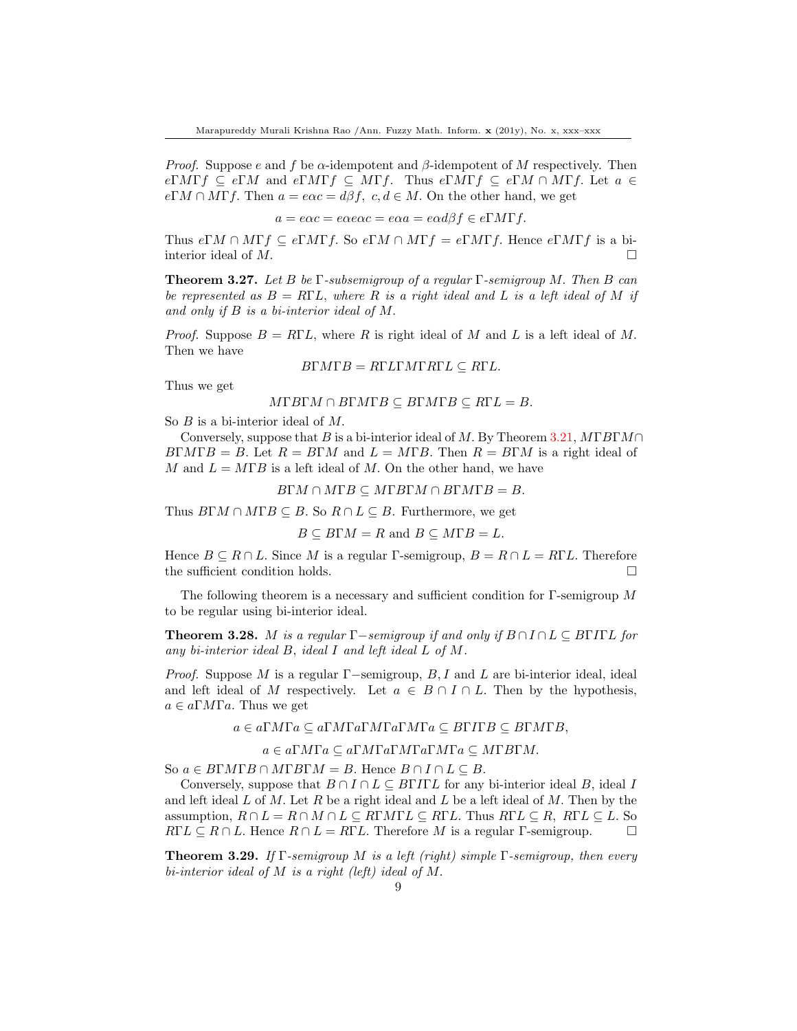*Proof.* Suppose e and f be  $\alpha$ -idempotent and  $\beta$ -idempotent of M respectively. Then  $e\Gamma M\Gamma f \subseteq e\Gamma M$  and  $e\Gamma M\Gamma f \subseteq M\Gamma f$ . Thus  $e\Gamma M\Gamma f \subseteq e\Gamma M \cap M\Gamma f$ . Let  $a \in$  $e\Gamma M \cap M\Gamma f$ . Then  $a = e\alpha c = d\beta f$ ,  $c, d \in M$ . On the other hand, we get

$$
a = e\alpha c = e\alpha e\alpha c = e\alpha a = e\alpha d\beta f \in e\Gamma M\Gamma f.
$$

Thus  $e\Gamma M \cap M\Gamma f \subseteq e\Gamma M\Gamma f$ . So  $e\Gamma M \cap M\Gamma f = e\Gamma M\Gamma f$ . Hence  $e\Gamma M\Gamma f$  is a biinterior ideal of  $M$ .

**Theorem 3.27.** Let B be Γ-subsemigroup of a regular Γ-semigroup M. Then B can be represented as  $B = R\Gamma L$ , where R is a right ideal and L is a left ideal of M if and only if B is a bi-interior ideal of M.

*Proof.* Suppose  $B = R\Gamma L$ , where R is right ideal of M and L is a left ideal of M. Then we have

$$
B\Gamma M\Gamma B = R\Gamma L\Gamma M\Gamma R\Gamma L \subseteq R\Gamma L.
$$

Thus we get

$$
M\Gamma B\Gamma M \cap B\Gamma M\Gamma B \subseteq B\Gamma M\Gamma B \subseteq R\Gamma L = B.
$$

So *B* is a bi-interior ideal of *M*.

Conversely, suppose that B is a bi-interior ideal of M. By Theorem [3.21,](#page-6-0)  $M\Gamma B\Gamma M\cap$  $B\Gamma M\Gamma B = B$ . Let  $R = B\Gamma M$  and  $L = M\Gamma B$ . Then  $R = B\Gamma M$  is a right ideal of M and  $L = M \Gamma B$  is a left ideal of M. On the other hand, we have

$$
B\Gamma M \cap M\Gamma B \subseteq M\Gamma B\Gamma M \cap B\Gamma M\Gamma B = B.
$$

Thus  $B\Gamma M \cap M\Gamma B \subseteq B$ . So  $R \cap L \subseteq B$ . Furthermore, we get

$$
B \subseteq B\Gamma M = R \text{ and } B \subseteq M\Gamma B = L.
$$

Hence  $B \subseteq R \cap L$ . Since M is a regular Γ-semigroup,  $B = R \cap L = R\Gamma L$ . Therefore the sufficient condition holds.  $\Box$ 

The following theorem is a necessary and sufficient condition for Γ-semigroup M to be regular using bi-interior ideal.

**Theorem 3.28.** M is a regular Γ−semigroup if and only if  $B \cap I \cap L \subseteq B$ ΓΙΓL for any bi-interior ideal B, ideal I and left ideal L of M.

*Proof.* Suppose M is a regular  $\Gamma$ -semigroup, B, I and L are bi-interior ideal, ideal and left ideal of M respectively. Let  $a \in B \cap I \cap L$ . Then by the hypothesis,  $a \in a\Gamma M\Gamma a$ . Thus we get

 $a \in a\Gamma M\Gamma a \subseteq a\Gamma M\Gamma a\Gamma M\Gamma a\Gamma M\Gamma a \subseteq B\Gamma I\Gamma B \subseteq B\Gamma M\Gamma B,$ 

 $a \in a\Gamma M\Gamma a \subseteq a\Gamma M\Gamma a\Gamma M\Gamma a\Gamma M\Gamma a \subseteq M\Gamma B\Gamma M.$ 

So  $a \in B\Gamma M\Gamma B \cap M\Gamma B\Gamma M = B$ . Hence  $B \cap I \cap L \subseteq B$ .

Conversely, suppose that  $B \cap I \cap L \subseteq B\Gamma I\Gamma L$  for any bi-interior ideal B, ideal I and left ideal  $L$  of  $M$ . Let  $R$  be a right ideal and  $L$  be a left ideal of  $M$ . Then by the assumption,  $R \cap L = R \cap M \cap L \subseteq R\Gamma M\Gamma L \subseteq R\Gamma L$ . Thus  $R\Gamma L \subseteq R$ ,  $R\Gamma L \subseteq L$ . So  $R\Gamma L \subseteq R \cap L$ . Hence  $R \cap L = R\Gamma L$ . Therefore M is a regular Γ-semigroup.  $\square$ 

**Theorem 3.29.** If  $\Gamma$ -semigroup M is a left (right) simple  $\Gamma$ -semigroup, then every bi-interior ideal of M is a right (left) ideal of M.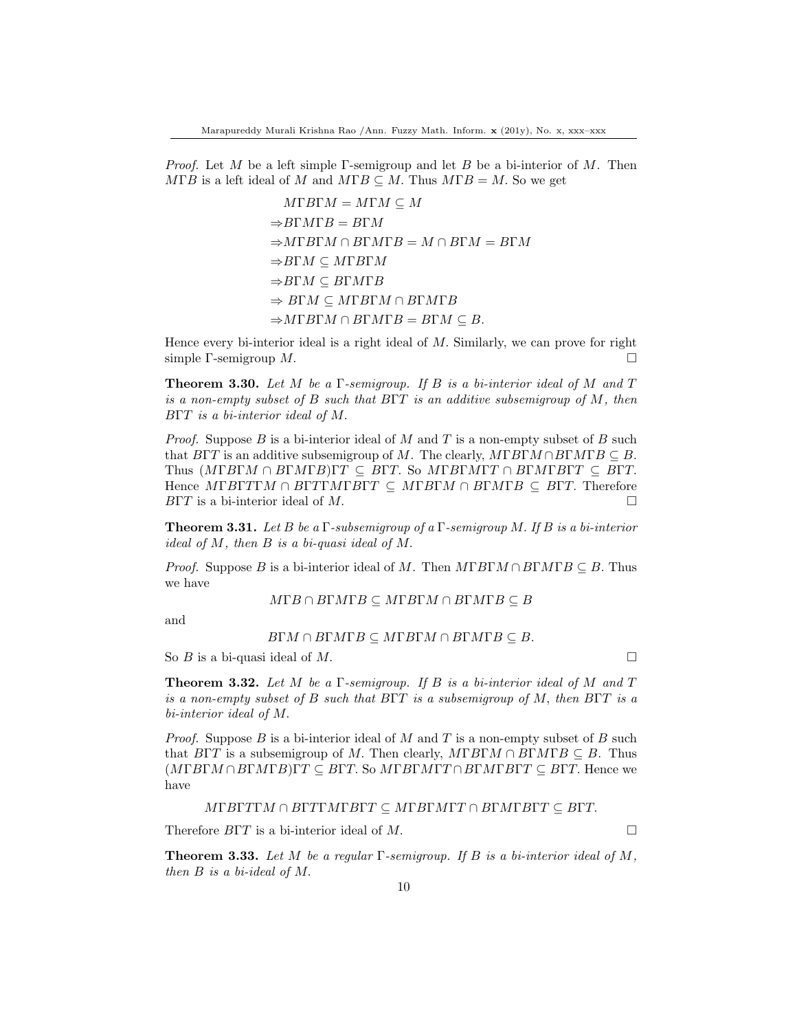*Proof.* Let M be a left simple Γ-semigroup and let B be a bi-interior of M. Then  $M\Gamma B$  is a left ideal of M and  $M\Gamma B \subseteq M$ . Thus  $M\Gamma B = M$ . So we get

> $M\Gamma B\Gamma M = M\Gamma M \subseteq M$  $\Rightarrow$ BΓMΓB = BΓM  $\Rightarrow M\Gamma B\Gamma M \cap B\Gamma M\Gamma B = M \cap B\Gamma M = B\Gamma M$  $\Rightarrow$ BΓM  $\subseteq$  MΓBΓM  $\Rightarrow$ BΓM ⊂ BΓMΓB  $⇒$  BΓM  $subseteq$  MΓBΓM  $∩$  BΓMΓB  $\Rightarrow M\Gamma B\Gamma M \cap B\Gamma M\Gamma B = B\Gamma M \subseteq B.$

Hence every bi-interior ideal is a right ideal of  $M$ . Similarly, we can prove for right simple Γ-semigroup  $M$ .

**Theorem 3.30.** Let M be a  $\Gamma$ -semigroup. If B is a bi-interior ideal of M and T is a non-empty subset of B such that BΓT is an additive subsemigroup of M, then BΓT is a bi-interior ideal of M.

*Proof.* Suppose B is a bi-interior ideal of M and T is a non-empty subset of B such that  $B\Gamma T$  is an additive subsemigroup of M. The clearly,  $M\Gamma B\Gamma M \cap B\Gamma M\Gamma B \subseteq B$ . Thus  $(MFBTM \cap B\Gamma MFB)\Gamma T \subseteq B\Gamma T$ . So  $M\Gamma B\Gamma M\Gamma T \cap B\Gamma M\Gamma B\Gamma T \subseteq B\Gamma T$ . Hence  $M\Gamma B\Gamma T\Gamma M \cap B\Gamma T\Gamma M\Gamma B\Gamma T \subseteq M\Gamma B\Gamma M \cap B\Gamma M\Gamma B \subseteq B\Gamma T$ . Therefore  $BTT$  is a bi-interior ideal of M.

**Theorem 3.31.** Let B be a Γ-subsemigroup of a Γ-semigroup M. If B is a bi-interior ideal of M, then B is a bi-quasi ideal of M.

*Proof.* Suppose B is a bi-interior ideal of M. Then  $M\Gamma B\Gamma M \cap B\Gamma M\Gamma B \subseteq B$ . Thus we have

 $M\Gamma B \cap B\Gamma M\Gamma B \subseteq M\Gamma B\Gamma M \cap B\Gamma M\Gamma B \subseteq B$ 

and

$$
B\Gamma M \cap B\Gamma M \Gamma B \subseteq M\Gamma B\Gamma M \cap B\Gamma M \Gamma B \subseteq B.
$$

So  $B$  is a bi-quasi ideal of  $M$ .

**Theorem 3.32.** Let M be a  $\Gamma$ -semigroup. If B is a bi-interior ideal of M and T is a non-empty subset of B such that  $B\Gamma T$  is a subsemigroup of M, then  $B\Gamma T$  is a bi-interior ideal of M.

*Proof.* Suppose B is a bi-interior ideal of M and T is a non-empty subset of B such that  $B\Gamma T$  is a subsemigroup of M. Then clearly,  $M\Gamma B\Gamma M \cap B\Gamma M\Gamma B \subseteq B$ . Thus  $(M \Gamma B \Gamma M \cap B \Gamma M \Gamma B) \Gamma T \subseteq B \Gamma T$ . So  $M \Gamma B \Gamma M \Gamma T \cap B \Gamma M \Gamma B \Gamma T \subseteq B \Gamma T$ . Hence we have

$$
M\Gamma B\Gamma T\Gamma M\cap B\Gamma T\Gamma M\Gamma B\Gamma T\subseteq M\Gamma B\Gamma M\Gamma T\cap B\Gamma M\Gamma B\Gamma T\subseteq B\Gamma T.
$$

Therefore  $B\Gamma T$  is a bi-interior ideal of M.

**Theorem 3.33.** Let M be a regular Γ-semigroup. If B is a bi-interior ideal of M, then B is a bi-ideal of M.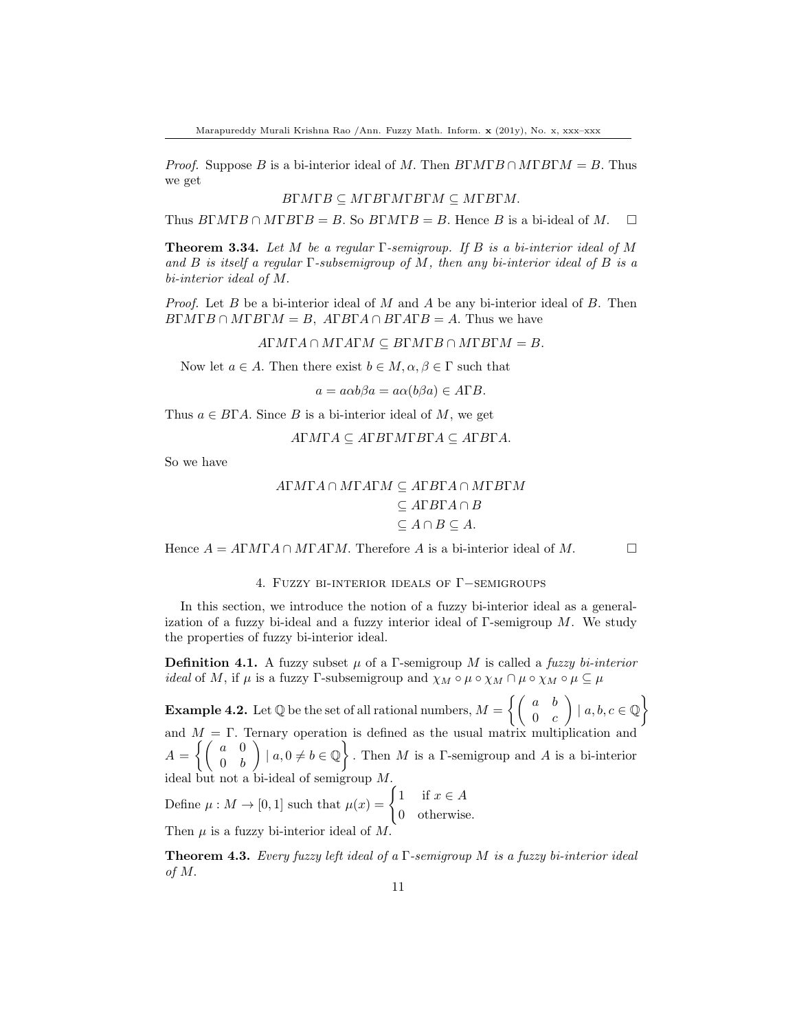*Proof.* Suppose B is a bi-interior ideal of M. Then  $B\Gamma M\Gamma B \cap M\Gamma B\Gamma M = B$ . Thus we get

$$
BTMTB \subseteq MTBTMTB\Gamma M \subseteq MTBTM.
$$

Thus  $B\Gamma M\Gamma B \cap M\Gamma B\Gamma B = B$ . So  $B\Gamma M\Gamma B = B$ . Hence B is a bi-ideal of M.  $\square$ 

**Theorem 3.34.** Let M be a regular  $\Gamma$ -semigroup. If B is a bi-interior ideal of M and B is itself a regular  $\Gamma$ -subsemigroup of M, then any bi-interior ideal of B is a bi-interior ideal of M.

*Proof.* Let B be a bi-interior ideal of M and A be any bi-interior ideal of B. Then  $B\Gamma M\Gamma B\cap M\Gamma B\Gamma M = B$ ,  $A\Gamma B\Gamma A\cap B\Gamma A\Gamma B = A$ . Thus we have

 $A\Gamma M\Gamma A\cap M\Gamma A\Gamma M\subseteq B\Gamma M\Gamma B\cap M\Gamma B\Gamma M=B.$ 

Now let  $a \in A$ . Then there exist  $b \in M$ ,  $\alpha, \beta \in \Gamma$  such that

 $a = a\alpha b\beta a = a\alpha(b\beta a) \in A\Gamma B.$ 

Thus  $a \in B\Gamma A$ . Since B is a bi-interior ideal of M, we get

$$
ATM\Gamma A \subseteq A\Gamma B\Gamma M\Gamma B\Gamma A \subseteq A\Gamma B\Gamma A.
$$

So we have

$$
ATMTA \cap MTATM \subseteq ATBTA \cap MTBTM
$$
  
\n
$$
\subseteq ATBTA \cap B
$$
  
\n
$$
\subseteq A \cap B \subseteq A.
$$

Hence  $A = A\Gamma M\Gamma A \cap M\Gamma A\Gamma M$ . Therefore A is a bi-interior ideal of M.

4. Fuzzy bi-interior ideals of Γ−semigroups

In this section, we introduce the notion of a fuzzy bi-interior ideal as a generalization of a fuzzy bi-ideal and a fuzzy interior ideal of  $\Gamma$ -semigroup M. We study the properties of fuzzy bi-interior ideal.

**Definition 4.1.** A fuzzy subset  $\mu$  of a Γ-semigroup M is called a fuzzy bi-interior *ideal* of M, if  $\mu$  is a fuzzy Γ-subsemigroup and  $\chi_M \circ \mu \circ \chi_M \cap \mu \circ \chi_M \circ \mu \subseteq \mu$ 

**Example 4.2.** Let  $\mathbb Q$  be the set of all rational numbers,  $M = \left\{ \begin{pmatrix} a & b \\ 0 & a \end{pmatrix} \right\}$  $0 \quad c$  $\Big\} | a, b, c \in \mathbb{Q} \Big\}$ and  $M = \Gamma$ . Ternary operation is defined as the usual matrix multiplication and  $A = \left\{ \begin{pmatrix} a & 0 \\ 0 & b \end{pmatrix} \right\}$  $0 \quad b$  $\Big\} \mid a, 0 \neq b \in \mathbb{Q}$ . Then M is a Γ-semigroup and A is a bi-interior ideal but not a bi-ideal of semigroup M.

Define  $\mu : M \to [0,1]$  such that  $\mu(x) = \begin{cases} 1 & \text{if } x \in A \\ 0 & \text{if } x \in A \end{cases}$ 0 otherwise.

Then  $\mu$  is a fuzzy bi-interior ideal of M.

**Theorem 4.3.** Every fuzzy left ideal of a  $\Gamma$ -semigroup M is a fuzzy bi-interior ideal of M.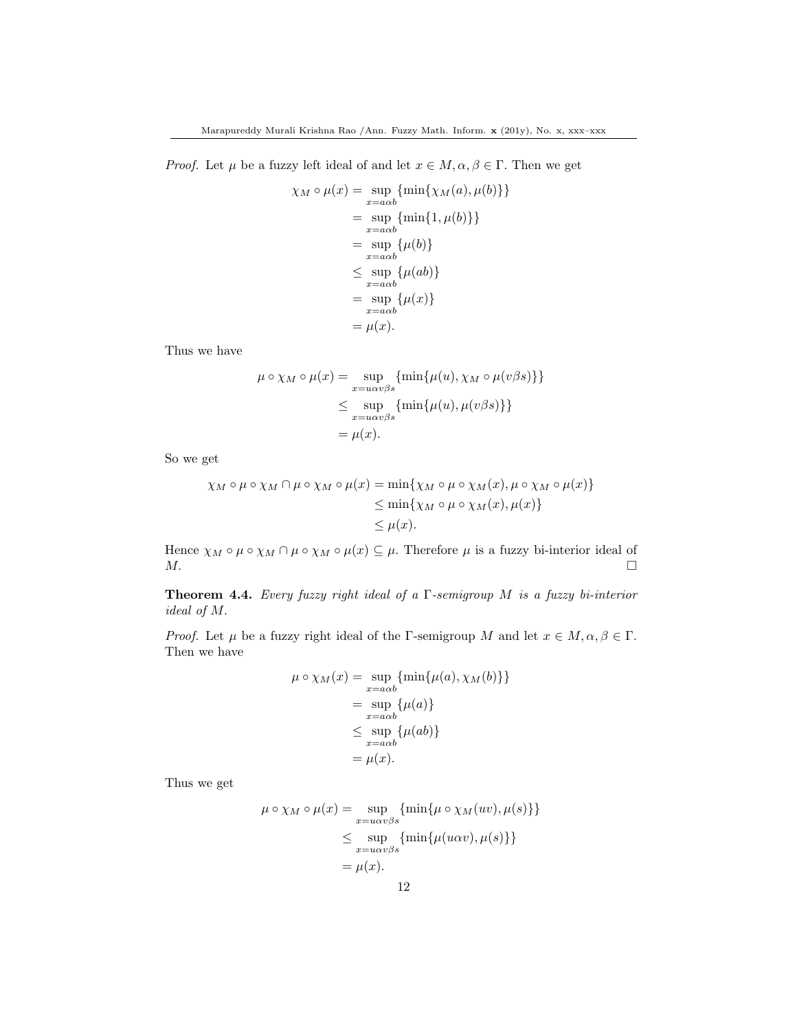*Proof.* Let  $\mu$  be a fuzzy left ideal of and let  $x \in M$ ,  $\alpha, \beta \in \Gamma$ . Then we get

$$
\chi_M \circ \mu(x) = \sup_{x = aab} \{\min\{\chi_M(a), \mu(b)\}\}\
$$

$$
= \sup_{x = aab} \{\min\{1, \mu(b)\}\}\
$$

$$
= \sup_{x = aab} \{\mu(b)\}\
$$

$$
\leq \sup_{x = aab} \{\mu(ab)\}\
$$

$$
= \sup_{x = aab} \{\mu(x)\}\
$$

$$
= \mu(x).
$$

Thus we have

$$
\mu \circ \chi_M \circ \mu(x) = \sup_{x = u\alpha v\beta s} \{\min\{\mu(u), \chi_M \circ \mu(v\beta s)\}\}\
$$
  

$$
\leq \sup_{x = u\alpha v\beta s} \{\min\{\mu(u), \mu(v\beta s)\}\}\
$$
  

$$
= \mu(x).
$$

So we get

$$
\chi_M \circ \mu \circ \chi_M \cap \mu \circ \chi_M \circ \mu(x) = \min\{\chi_M \circ \mu \circ \chi_M(x), \mu \circ \chi_M \circ \mu(x)\}
$$
  
\n
$$
\leq \min\{\chi_M \circ \mu \circ \chi_M(x), \mu(x)\}
$$
  
\n
$$
\leq \mu(x).
$$

Hence  $\chi_M \circ \mu \circ \chi_M \cap \mu \circ \chi_M \circ \mu(x) \subseteq \mu$ . Therefore  $\mu$  is a fuzzy bi-interior ideal of  $M$ .

**Theorem 4.4.** Every fuzzy right ideal of a  $\Gamma$ -semigroup M is a fuzzy bi-interior ideal of M.

*Proof.* Let  $\mu$  be a fuzzy right ideal of the Γ-semigroup M and let  $x \in M, \alpha, \beta \in \Gamma$ . Then we have

$$
\mu \circ \chi_M(x) = \sup_{x = a\alpha b} \{\min\{\mu(a), \chi_M(b)\}\}
$$

$$
= \sup_{x = a\alpha b} \{\mu(a)\}
$$

$$
\leq \sup_{x = a\alpha b} \{\mu(ab)\}
$$

$$
= \mu(x).
$$

Thus we get

$$
\mu \circ \chi_M \circ \mu(x) = \sup_{x = u\alpha v\beta s} \{ \min\{\mu \circ \chi_M(uv), \mu(s)\} \}
$$
  

$$
\leq \sup_{x = u\alpha v\beta s} \{ \min\{\mu(u\alpha v), \mu(s)\} \}
$$
  

$$
= \mu(x).
$$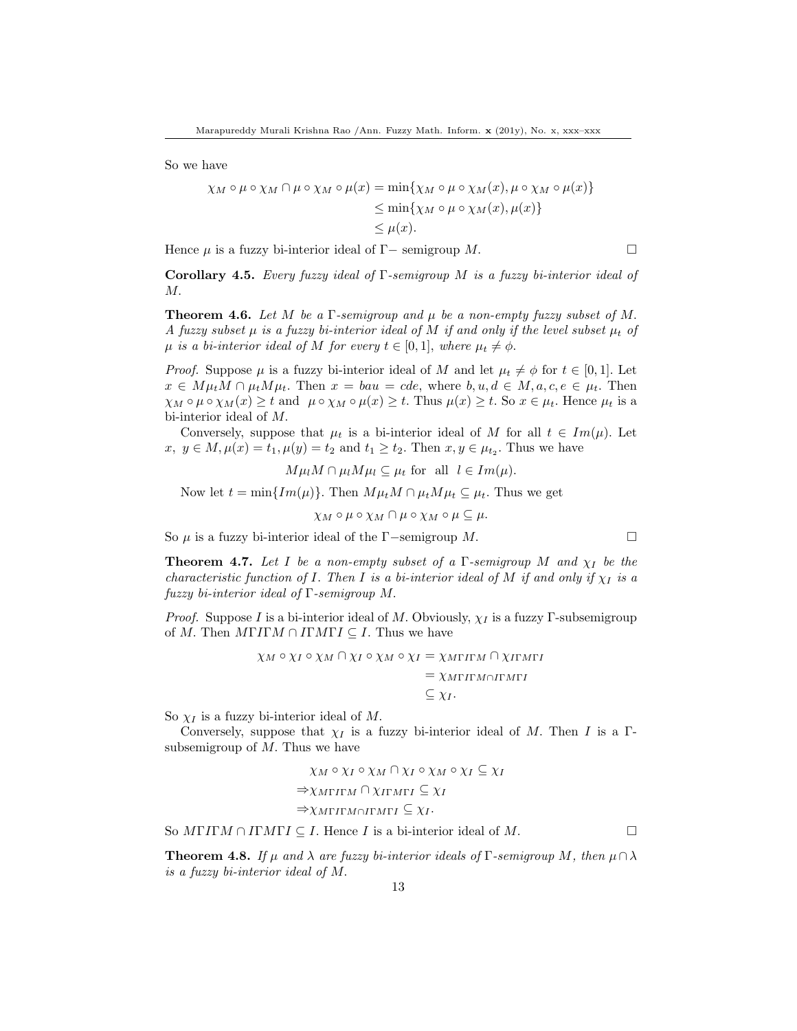So we have

$$
\chi_M \circ \mu \circ \chi_M \cap \mu \circ \chi_M \circ \mu(x) = \min\{\chi_M \circ \mu \circ \chi_M(x), \mu \circ \chi_M \circ \mu(x)\}
$$
  
\n
$$
\leq \min\{\chi_M \circ \mu \circ \chi_M(x), \mu(x)\}
$$
  
\n
$$
\leq \mu(x).
$$

Hence  $\mu$  is a fuzzy bi-interior ideal of Γ− semigroup M.

Corollary 4.5. Every fuzzy ideal of  $\Gamma$ -semigroup M is a fuzzy bi-interior ideal of M.

**Theorem 4.6.** Let M be a  $\Gamma$ -semigroup and  $\mu$  be a non-empty fuzzy subset of M. A fuzzy subset  $\mu$  is a fuzzy bi-interior ideal of M if and only if the level subset  $\mu_t$  of  $\mu$  is a bi-interior ideal of M for every  $t \in [0,1]$ , where  $\mu_t \neq \phi$ .

*Proof.* Suppose  $\mu$  is a fuzzy bi-interior ideal of M and let  $\mu_t \neq \phi$  for  $t \in [0,1]$ . Let  $x \in M\mu_t M \cap \mu_t M\mu_t$ . Then  $x = bau = cde$ , where  $b, u, d \in M, a, c, e \in \mu_t$ . Then  $\chi_M \circ \mu \circ \chi_M(x) \geq t$  and  $\mu \circ \chi_M \circ \mu(x) \geq t$ . Thus  $\mu(x) \geq t$ . So  $x \in \mu_t$ . Hence  $\mu_t$  is a bi-interior ideal of M.

Conversely, suppose that  $\mu_t$  is a bi-interior ideal of M for all  $t \in Im(\mu)$ . Let  $x, y \in M, \mu(x) = t_1, \mu(y) = t_2 \text{ and } t_1 \ge t_2. \text{ Then } x, y \in \mu_{t_2}. \text{ Thus we have}$ 

$$
M\mu_l M \cap \mu_l M\mu_l \subseteq \mu_t
$$
 for all  $l \in Im(\mu)$ .

Now let  $t = \min\{Im(\mu)\}\$ . Then  $M\mu_t M \cap \mu_t M\mu_t \subseteq \mu_t$ . Thus we get

$$
\chi_M \circ \mu \circ \chi_M \cap \mu \circ \chi_M \circ \mu \subseteq \mu.
$$

So  $\mu$  is a fuzzy bi-interior ideal of the Γ−semigroup M.  $\Box$ 

<span id="page-12-0"></span>**Theorem 4.7.** Let I be a non-empty subset of a  $\Gamma$ -semigroup M and  $\chi_I$  be the characteristic function of I. Then I is a bi-interior ideal of M if and only if  $\chi_I$  is a fuzzy bi-interior ideal of Γ-semigroup M.

*Proof.* Suppose I is a bi-interior ideal of M. Obviously,  $\chi_I$  is a fuzzy Γ-subsemigroup of M. Then  $M\Gamma I\Gamma M \cap I\Gamma M\Gamma I \subseteq I$ . Thus we have

$$
\chi_M \circ \chi_I \circ \chi_M \cap \chi_I \circ \chi_M \circ \chi_I = \chi_{M\Gamma \Gamma \Gamma M} \cap \chi_{\Gamma \Gamma M \Gamma I}
$$
  
= 
$$
\chi_{M\Gamma \Gamma \Gamma M \cap \Gamma \Gamma M \Gamma I}
$$
  
\$\subseteq \chi\_I\$.

So  $\chi_I$  is a fuzzy bi-interior ideal of M.

Conversely, suppose that  $\chi_I$  is a fuzzy bi-interior ideal of M. Then I is a Γsubsemigroup of  $M$ . Thus we have

$$
\chi_M \circ \chi_I \circ \chi_M \cap \chi_I \circ \chi_M \circ \chi_I \subseteq \chi_I
$$
  
\n
$$
\Rightarrow \chi_{M\Gamma\Gamma\Gamma M} \cap \chi_{\Gamma\Gamma M\Gamma I} \subseteq \chi_I
$$
  
\n
$$
\Rightarrow \chi_{M\Gamma\Gamma\Gamma M \cap \Gamma\Gamma M\Gamma I} \subseteq \chi_I.
$$

So  $M\Gamma I\Gamma M \cap I\Gamma M\Gamma I \subseteq I$ . Hence I is a bi-interior ideal of M.

**Theorem 4.8.** If  $\mu$  and  $\lambda$  are fuzzy bi-interior ideals of  $\Gamma$ -semigroup M, then  $\mu \cap \lambda$ is a fuzzy bi-interior ideal of M.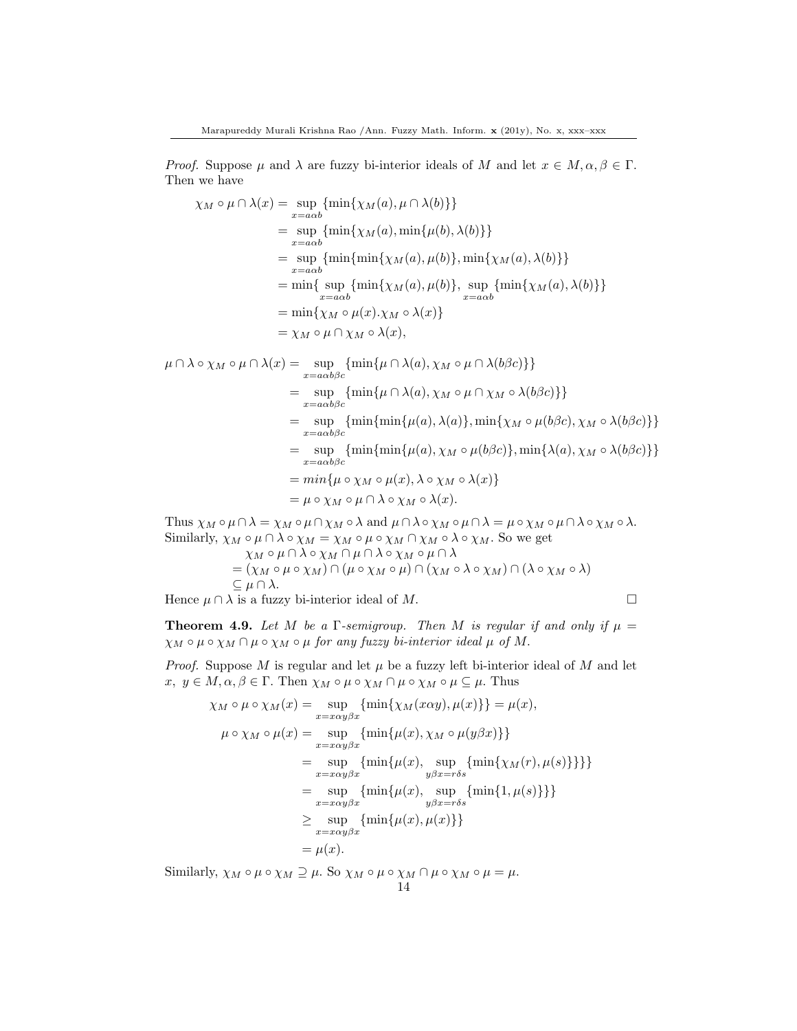*Proof.* Suppose  $\mu$  and  $\lambda$  are fuzzy bi-interior ideals of M and let  $x \in M, \alpha, \beta \in \Gamma$ . Then we have

$$
\chi_M \circ \mu \cap \lambda(x) = \sup_{x=a\alpha b} \{ \min\{\chi_M(a), \mu \cap \lambda(b)\} \}
$$
  
\n
$$
= \sup_{x=a\alpha b} \{ \min\{\chi_M(a), \min\{\mu(b), \lambda(b)\} \}
$$
  
\n
$$
= \sup_{x=a\alpha b} \{ \min\{\min\{\chi_M(a), \mu(b)\}, \min\{\chi_M(a), \lambda(b)\} \}
$$
  
\n
$$
= \min\{ \sup_{x=a\alpha b} \{ \min\{\chi_M(a), \mu(b)\}, \sup_{x=a\alpha b} \{ \min\{\chi_M(a), \lambda(b)\} \}
$$
  
\n
$$
= \min\{\chi_M \circ \mu(x). \chi_M \circ \lambda(x) \}
$$
  
\n
$$
= \chi_M \circ \mu \cap \chi_M \circ \lambda(x),
$$

$$
\mu \cap \lambda \circ \chi_M \circ \mu \cap \lambda(x) = \sup_{x = a\alpha b\beta c} \{ \min\{\mu \cap \lambda(a), \chi_M \circ \mu \cap \lambda(b\beta c)\} \}
$$
  
\n
$$
= \sup_{x = a\alpha b\beta c} \{ \min\{\mu \cap \lambda(a), \chi_M \circ \mu \cap \chi_M \circ \lambda(b\beta c)\} \}
$$
  
\n
$$
= \sup_{x = a\alpha b\beta c} \{ \min\{\min\{\mu(a), \lambda(a)\}, \min\{\chi_M \circ \mu(b\beta c), \chi_M \circ \lambda(b\beta c)\} \}
$$
  
\n
$$
= \sup_{x = a\alpha b\beta c} \{ \min\{\min\{\mu(a), \chi_M \circ \mu(b\beta c)\}, \min\{\lambda(a), \chi_M \circ \lambda(b\beta c)\} \}
$$
  
\n
$$
= \min\{\mu \circ \chi_M \circ \mu(x), \lambda \circ \chi_M \circ \lambda(x) \}
$$
  
\n
$$
= \mu \circ \chi_M \circ \mu \cap \lambda \circ \chi_M \circ \lambda(x).
$$

Thus  $\chi_M \circ \mu \cap \lambda = \chi_M \circ \mu \cap \chi_M \circ \lambda$  and  $\mu \cap \lambda \circ \chi_M \circ \mu \cap \lambda = \mu \circ \chi_M \circ \mu \cap \lambda \circ \chi_M \circ \lambda$ . Similarly,  $\chi_M \circ \mu \cap \lambda \circ \chi_M = \chi_M \circ \mu \circ \chi_M \cap \chi_M \circ \lambda \circ \chi_M$ . So we get  $\chi_M\circ\mu\cap\lambda\circ\chi_M\cap\mu\cap\lambda\circ\chi_M\circ\mu\cap\lambda$ 

$$
= (\chi_M \circ \mu \circ \chi_M) \cap (\mu \circ \chi_M \circ \mu) \cap (\chi_M \circ \lambda \circ \chi_M) \cap (\lambda \circ \chi_M \circ \lambda)
$$
  
\n
$$
\subseteq \mu \cap \lambda.
$$

Hence  $\mu \cap \lambda$  is a fuzzy bi-interior ideal of M.

**Theorem 4.9.** Let M be a  $\Gamma$ -semigroup. Then M is regular if and only if  $\mu =$  $\chi_M \circ \mu \circ \chi_M \cap \mu \circ \chi_M \circ \mu$  for any fuzzy bi-interior ideal  $\mu$  of M.

*Proof.* Suppose  $M$  is regular and let  $\mu$  be a fuzzy left bi-interior ideal of  $M$  and let  $x, y \in M, \alpha, \beta \in \Gamma$ . Then  $\chi_M \circ \mu \circ \chi_M \cap \mu \circ \chi_M \circ \mu \subseteq \mu$ . Thus

$$
\chi_M \circ \mu \circ \chi_M(x) = \sup_{x = x\alpha y\beta x} \{\min\{\chi_M(x\alpha y), \mu(x)\}\} = \mu(x),
$$
  

$$
\mu \circ \chi_M \circ \mu(x) = \sup_{x = x\alpha y\beta x} \{\min\{\mu(x), \chi_M \circ \mu(y\beta x)\}\}
$$
  

$$
= \sup_{x = x\alpha y\beta x} \{\min\{\mu(x), \sup_{y\beta x = r\delta s} \{\min\{\chi_M(r), \mu(s)\}\}\}\}
$$
  

$$
= \sup_{x = x\alpha y\beta x} \{\min\{\mu(x), \sup_{y\beta x = r\delta s} \{\min\{1, \mu(s)\}\}\}
$$
  

$$
\geq \sup_{x = x\alpha y\beta x} \{\min\{\mu(x), \mu(x)\}\}
$$
  

$$
= \mu(x).
$$

Similarly,  $\chi_M \circ \mu \circ \chi_M \supseteq \mu$ . So  $\chi_M \circ \mu \circ \chi_M \cap \mu \circ \chi_M \circ \mu = \mu$ .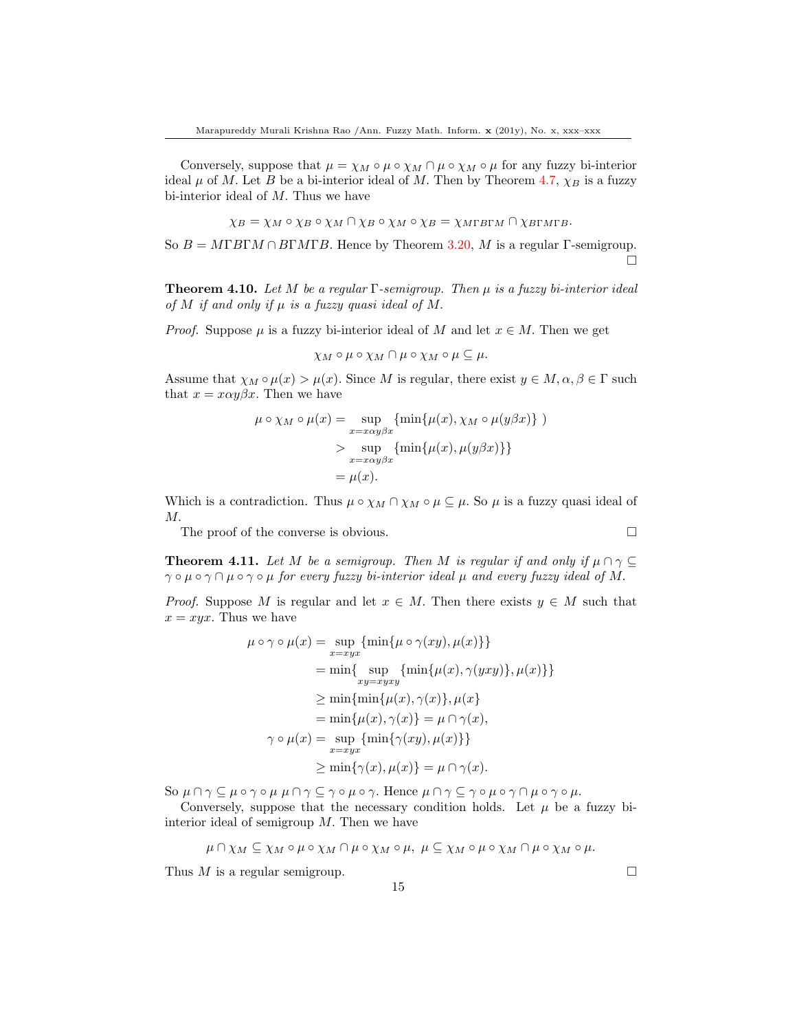Conversely, suppose that  $\mu = \chi_M \circ \mu \circ \chi_M \cap \mu \circ \chi_M \circ \mu$  for any fuzzy bi-interior ideal  $\mu$  of M. Let B be a bi-interior ideal of M. Then by Theorem [4.7,](#page-12-0)  $\chi_B$  is a fuzzy bi-interior ideal of M. Thus we have

$$
\chi_B = \chi_M \circ \chi_B \circ \chi_M \cap \chi_B \circ \chi_M \circ \chi_B = \chi_{M\Gamma B \Gamma M} \cap \chi_{B\Gamma M \Gamma B}.
$$

So  $B = M\Gamma B\Gamma M \cap B\Gamma M\Gamma B$ . Hence by Theorem [3.20,](#page-6-1) M is a regular Γ-semigroup.  $\Box$ 

**Theorem 4.10.** Let M be a regular  $\Gamma$ -semigroup. Then  $\mu$  is a fuzzy bi-interior ideal of M if and only if  $\mu$  is a fuzzy quasi ideal of M.

*Proof.* Suppose  $\mu$  is a fuzzy bi-interior ideal of M and let  $x \in M$ . Then we get

$$
\chi_M \circ \mu \circ \chi_M \cap \mu \circ \chi_M \circ \mu \subseteq \mu.
$$

Assume that  $\chi_M \circ \mu(x) > \mu(x)$ . Since M is regular, there exist  $y \in M, \alpha, \beta \in \Gamma$  such that  $x = x\alpha y\beta x$ . Then we have

$$
\mu \circ \chi_M \circ \mu(x) = \sup_{x = x\alpha y\beta x} \{ \min\{\mu(x), \chi_M \circ \mu(y\beta x)\} \}
$$
  
> 
$$
\sup_{x = x\alpha y\beta x} \{ \min\{\mu(x), \mu(y\beta x)\} \}
$$
  
= 
$$
\mu(x).
$$

Which is a contradiction. Thus  $\mu \circ \chi_M \cap \chi_M \circ \mu \subseteq \mu$ . So  $\mu$  is a fuzzy quasi ideal of M.

The proof of the converse is obvious.

**Theorem 4.11.** Let M be a semigroup. Then M is regular if and only if  $\mu \cap \gamma \subseteq$  $\gamma \circ \mu \circ \gamma \cap \mu \circ \gamma \circ \mu$  for every fuzzy bi-interior ideal  $\mu$  and every fuzzy ideal of M.

*Proof.* Suppose M is regular and let  $x \in M$ . Then there exists  $y \in M$  such that  $x = xyx$ . Thus we have

$$
\mu \circ \gamma \circ \mu(x) = \sup_{x=xyx} \{ \min\{\mu \circ \gamma(xy), \mu(x)\} \}
$$
  
\n
$$
= \min\{ \sup_{xy=xyxy} \{ \min\{\mu(x), \gamma(yxy)\}, \mu(x)\} \}
$$
  
\n
$$
\geq \min\{\min\{\mu(x), \gamma(x)\}, \mu(x\}
$$
  
\n
$$
= \min\{\mu(x), \gamma(x)\} = \mu \cap \gamma(x),
$$
  
\n
$$
\gamma \circ \mu(x) = \sup_{x=xyx} \{ \min\{\gamma(xy), \mu(x)\} \}
$$
  
\n
$$
\geq \min\{\gamma(x), \mu(x)\} = \mu \cap \gamma(x).
$$

So  $\mu \cap \gamma \subseteq \mu \circ \gamma \circ \mu \mu \cap \gamma \subseteq \gamma \circ \mu \circ \gamma$ . Hence  $\mu \cap \gamma \subseteq \gamma \circ \mu \circ \gamma \cap \mu \circ \gamma \circ \mu$ .

Conversely, suppose that the necessary condition holds. Let  $\mu$  be a fuzzy biinterior ideal of semigroup  $M$ . Then we have

$$
\mu \cap \chi_M \subseteq \chi_M \circ \mu \circ \chi_M \cap \mu \circ \chi_M \circ \mu, \ \mu \subseteq \chi_M \circ \mu \circ \chi_M \cap \mu \circ \chi_M \circ \mu.
$$

15

Thus  $M$  is a regular semigroup.  $\square$